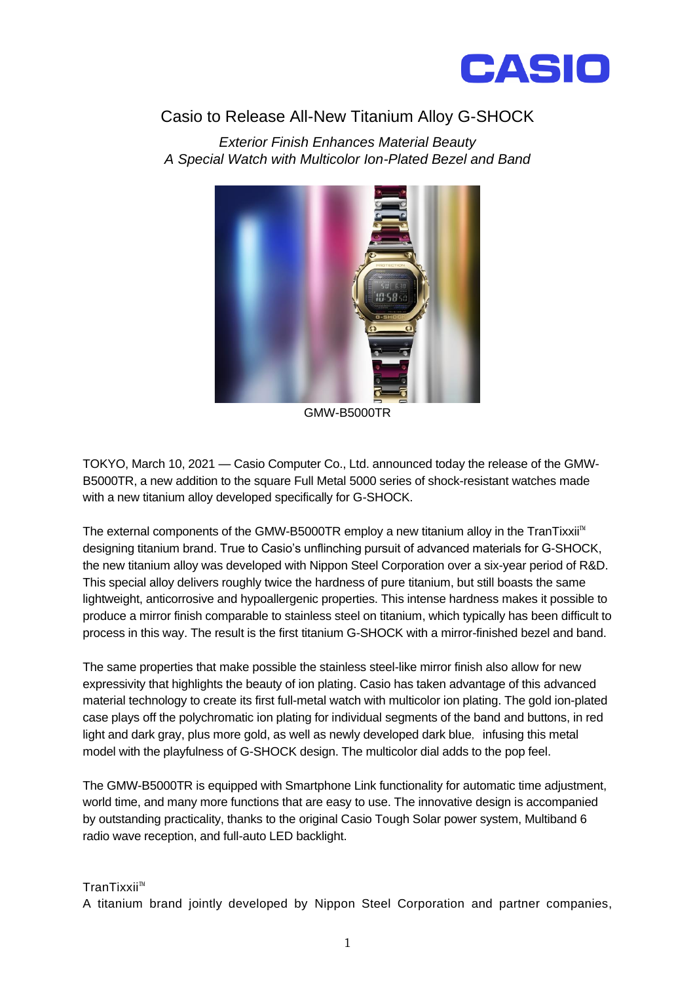

## Casio to Release All-New Titanium Alloy G-SHOCK

*Exterior Finish Enhances Material Beauty A Special Watch with Multicolor Ion-Plated Bezel and Band*



GMW-B5000TR

TOKYO, March 10, 2021 — Casio Computer Co., Ltd. announced today the release of the GMW-B5000TR, a new addition to the square Full Metal 5000 series of shock-resistant watches made with a new titanium alloy developed specifically for G-SHOCK.

The external components of the GMW-B5000TR employ a new titanium alloy in the TranTixxii™ designing titanium brand. True to Casio's unflinching pursuit of advanced materials for G-SHOCK, the new titanium alloy was developed with Nippon Steel Corporation over a six-year period of R&D. This special alloy delivers roughly twice the hardness of pure titanium, but still boasts the same lightweight, anticorrosive and hypoallergenic properties. This intense hardness makes it possible to produce a mirror finish comparable to stainless steel on titanium, which typically has been difficult to process in this way. The result is the first titanium G-SHOCK with a mirror-finished bezel and band.

The same properties that make possible the stainless steel-like mirror finish also allow for new expressivity that highlights the beauty of ion plating. Casio has taken advantage of this advanced material technology to create its first full-metal watch with multicolor ion plating. The gold ion-plated case plays off the polychromatic ion plating for individual segments of the band and buttons, in red light and dark gray, plus more gold, as well as newly developed dark blue, infusing this metal model with the playfulness of G-SHOCK design. The multicolor dial adds to the pop feel.

The GMW-B5000TR is equipped with Smartphone Link functionality for automatic time adjustment, world time, and many more functions that are easy to use. The innovative design is accompanied by outstanding practicality, thanks to the original Casio Tough Solar power system, Multiband 6 radio wave reception, and full-auto LED backlight.

## TranTixxii™

A titanium brand jointly developed by Nippon Steel Corporation and partner companies,